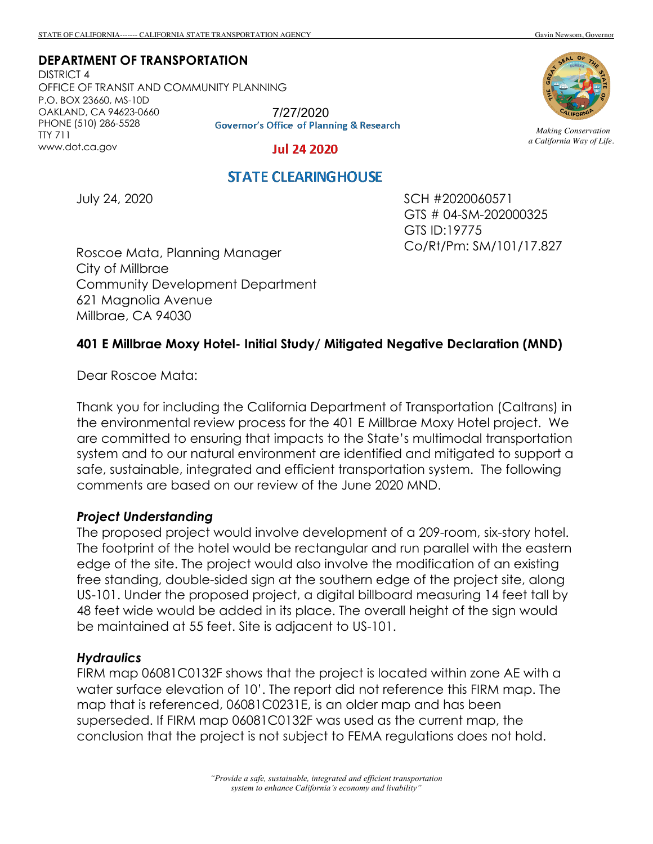**DEPARTMENT OF TRANSPORTATION**

DISTRICT 4 OFFICE OF TRANSIT AND COMMUNITY PLANNING P.O. BOX 23660, MS-10D OAKLAND, CA 94623-0660 PHONE (510) 286-5528 TTY 711 www.dot.ca.gov

7/27/2020<br>Governor's Office of Planning & Research

#### **Jul 24 2020**



*Making Conservation a California Way of Life.*

# **STATE CLEARING HOUSE**

July 24, 2020

SCH #2020060571 GTS # 04-SM-202000325 GTS ID:19775 Co/Rt/Pm: SM/101/17.827

Roscoe Mata, Planning Manager City of Millbrae Community Development Department 621 Magnolia Avenue Millbrae, CA 94030

### **401 E Millbrae Moxy Hotel- Initial Study/ Mitigated Negative Declaration (MND)**

Dear Roscoe Mata:

Thank you for including the California Department of Transportation (Caltrans) in the environmental review process for the 401 E Millbrae Moxy Hotel project. We are committed to ensuring that impacts to the State's multimodal transportation system and to our natural environment are identified and mitigated to support a safe, sustainable, integrated and efficient transportation system. The following comments are based on our review of the June 2020 MND.

#### *Project Understanding*

The proposed project would involve development of a 209-room, six-story hotel. The footprint of the hotel would be rectangular and run parallel with the eastern edge of the site. The project would also involve the modification of an existing free standing, double-sided sign at the southern edge of the project site, along US-101. Under the proposed project, a digital billboard measuring 14 feet tall by 48 feet wide would be added in its place. The overall height of the sign would be maintained at 55 feet. Site is adjacent to US-101.

#### *Hydraulics*

FIRM map 06081C0132F shows that the project is located within zone AE with a water surface elevation of 10'. The report did not reference this FIRM map. The map that is referenced, 06081C0231E, is an older map and has been superseded. If FIRM map 06081C0132F was used as the current map, the conclusion that the project is not subject to FEMA regulations does not hold.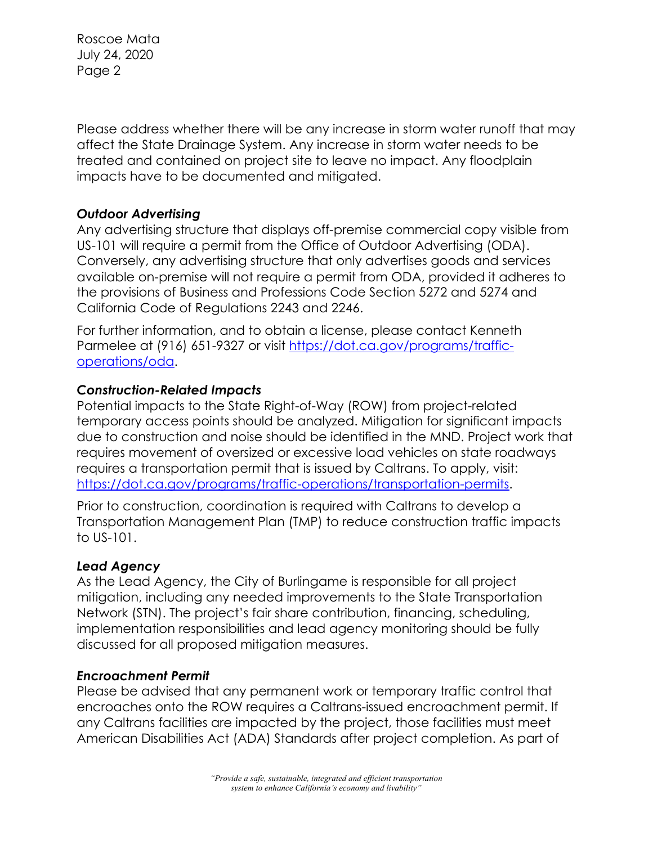Roscoe Mata July 24, 2020 Page 2

Please address whether there will be any increase in storm water runoff that may affect the State Drainage System. Any increase in storm water needs to be treated and contained on project site to leave no impact. Any floodplain impacts have to be documented and mitigated.

## *Outdoor Advertising*

Any advertising structure that displays off-premise commercial copy visible from US-101 will require a permit from the Office of Outdoor Advertising (ODA). Conversely, any advertising structure that only advertises goods and services available on-premise will not require a permit from ODA, provided it adheres to the provisions of Business and Professions Code Section 5272 and 5274 and California Code of Regulations 2243 and 2246.

For further information, and to obtain a license, please contact Kenneth Parmelee at (916) 651-9327 or visit https://dot.ca.gov/programs/trafficoperations/oda.

# *Construction-Related Impacts*

Potential impacts to the State Right-of-Way (ROW) from project-related temporary access points should be analyzed. Mitigation for significant impacts due to construction and noise should be identified in the MND. Project work that requires movement of oversized or excessive load vehicles on state roadways requires a transportation permit that is issued by Caltrans. To apply, visit: https://dot.ca.gov/programs/traffic-operations/transportation-permits.

Prior to construction, coordination is required with Caltrans to develop a Transportation Management Plan (TMP) to reduce construction traffic impacts to US-101.

## *Lead Agency*

As the Lead Agency, the City of Burlingame is responsible for all project mitigation, including any needed improvements to the State Transportation Network (STN). The project's fair share contribution, financing, scheduling, implementation responsibilities and lead agency monitoring should be fully discussed for all proposed mitigation measures.

## *Encroachment Permit*

Please be advised that any permanent work or temporary traffic control that encroaches onto the ROW requires a Caltrans-issued encroachment permit. If any Caltrans facilities are impacted by the project, those facilities must meet American Disabilities Act (ADA) Standards after project completion. As part of